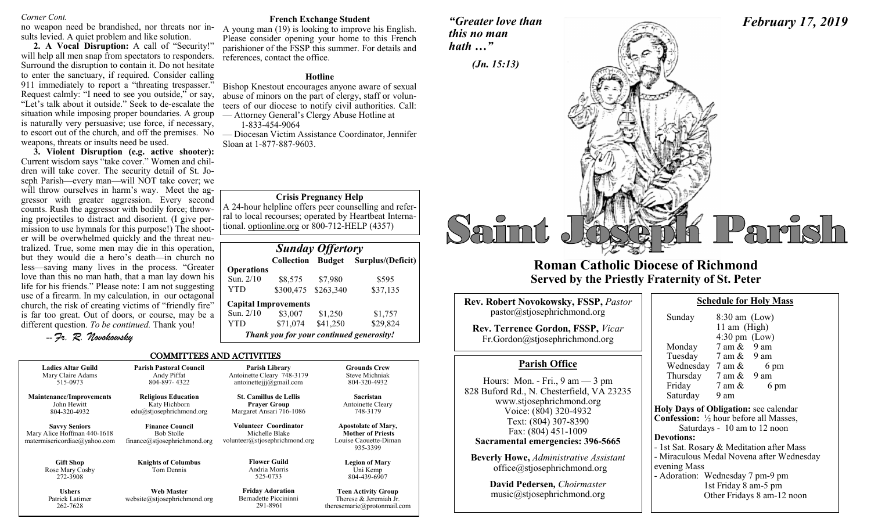#### *Corner Cont.*

no weapon need be brandished, nor threats nor insults levied. A quiet problem and like solution.

**2. A Vocal Disruption:** A call of "Security!" will help all men snap from spectators to responders. Surround the disruption to contain it. Do not hesitate to enter the sanctuary, if required. Consider calling 911 immediately to report a "threating trespasser." Request calmly: "I need to see you outside," or say, "Let's talk about it outside." Seek to de-escalate the situation while imposing proper boundaries. A group is naturally very persuasive; use force, if necessary, to escort out of the church, and off the premises. No weapons, threats or insults need be used.

**3. Violent Disruption (e.g. active shooter):** Current wisdom says "take cover." Women and children will take cover. The security detail of St. Joseph Parish—every man—will NOT take cover; we will throw ourselves in harm's way. Meet the aggressor with greater aggression. Every second counts. Rush the aggressor with bodily force; throwing projectiles to distract and disorient. (I give permission to use hymnals for this purpose!) The shooter will be overwhelmed quickly and the threat neutralized. True, some men may die in this operation, but they would die a hero's death—in church no less—saving many lives in the process. "Greater love than this no man hath, that a man lay down his life for his friends." Please note: I am not suggesting use of a firearm. In my calculation, in our octagonal church, the risk of creating victims of "friendly fire" is far too great. Out of doors, or course, may be a different question. *To be continued.* Thank you!

-- *Fr. R. Novokowsky* 

#### **French Exchange Student**

A young man (19) is looking to improve his English. Please consider opening your home to this French parishioner of the FSSP this summer. For details and references, contact the office.

#### **Hotline**

Bishop Knestout encourages anyone aware of sexual abuse of minors on the part of clergy, staff or volunteers of our diocese to notify civil authorities. Call: — Attorney General's Clergy Abuse Hotline at

1-833-454-9064

— Diocesan Victim Assistance Coordinator, Jennifer Sloan at 1-877-887-9603.

#### **Crisis Pregnancy Help**

A 24-hour helpline offers peer counselling and referral to local recourses; operated by Heartbeat International. optionline.org or 800-712-HELP (4357)

| <b>Sunday Offertory</b>                  |                             |          |                   |  |  |
|------------------------------------------|-----------------------------|----------|-------------------|--|--|
|                                          | <b>Collection Budget</b>    |          | Surplus/(Deficit) |  |  |
| <b>Operations</b>                        |                             |          |                   |  |  |
| Sun. 2/10                                | \$8,575                     | \$7,980  | \$595             |  |  |
| YTD                                      | \$300,475 \$263,340         |          | \$37,135          |  |  |
|                                          | <b>Capital Improvements</b> |          |                   |  |  |
| Sun. 2/10                                | \$3,007                     | \$1,250  | \$1,757           |  |  |
| YTD                                      | \$71,074                    | \$41,250 | \$29,824          |  |  |
| Thank you for your continued generosity! |                             |          |                   |  |  |

#### COMMITTEES AND ACTIVITIES

| <b>Ladies Altar Guild</b><br>Mary Claire Adams<br>515-0973                          | <b>Parish Pastoral Council</b><br>Andy Piffat<br>804-897-4322                | Parish Library<br>Antoinette Cleary 748-3179<br>antoinetteijj@gmail.com          | <b>Grounds Crew</b><br><b>Steve Michniak</b><br>804-320-4932                                |
|-------------------------------------------------------------------------------------|------------------------------------------------------------------------------|----------------------------------------------------------------------------------|---------------------------------------------------------------------------------------------|
| <b>Maintenance/Improvements</b><br>John Hewitt<br>804-320-4932                      | <b>Religious Education</b><br>Katy Hichborn<br>$edu(a)$ stjosephrichmond.org | <b>St. Camillus de Lellis</b><br><b>Prayer Group</b><br>Margaret Ansari 716-1086 | <b>Sacristan</b><br>Antoinette Cleary<br>748-3179                                           |
| <b>Savvy Seniors</b><br>Mary Alice Hoffman 440-1618<br>matermisericordiae@yahoo.com | <b>Finance Council</b><br><b>Bob Stolle</b><br>finance@stjosephrichmond.org  | Volunteer Coordinator<br>Michelle Blake<br>volunteer@stjosephrichmond.org        | <b>Apostolate of Mary,</b><br><b>Mother of Priests</b><br>Louise Caouette-Diman<br>935-3399 |
| <b>Gift Shop</b><br>Rose Mary Cosby<br>272-3908                                     | <b>Knights of Columbus</b><br>Tom Dennis                                     | <b>Flower Guild</b><br>Andria Morris<br>525-0733                                 | <b>Legion of Mary</b><br>Uni Kemp<br>804-439-6907                                           |
| <b>Ushers</b><br>Patrick Latimer<br>262-7628                                        | <b>Web Master</b><br>website@stjosephrichmond.org                            | <b>Friday Adoration</b><br>Bernadette Piccininni<br>291-8961                     | <b>Teen Activity Group</b><br>Therese & Jeremiah Jr.<br>theresemarie@protonmail.com         |

*"Greater love than this no man hath …"*



## **Roman Catholic Diocese of Richmond Served by the Priestly Fraternity of St. Peter**

| <b>Rev. Robert Novokowsky, FSSP, Pastor</b><br>pastor@stjosephrichmond.org<br><b>Rev. Terrence Gordon, FSSP, Vicar</b><br>Fr.Gordon@stjosephrichmond.org                                                                                | S<br>Ŋ                           |
|-----------------------------------------------------------------------------------------------------------------------------------------------------------------------------------------------------------------------------------------|----------------------------------|
|                                                                                                                                                                                                                                         |                                  |
| <b>Parish Office</b>                                                                                                                                                                                                                    |                                  |
| Hours: Mon. - Fri., $9 \text{ am} - 3 \text{ pm}$<br>828 Buford Rd., N. Chesterfield, VA 23235<br>www.stjosephrichmond.org<br>Voice: (804) 320-4932<br>Text: (804) 307-8390<br>Fax: (804) 451-1009<br>Sacramental emergencies: 396-5665 | F<br>Holy<br>Con<br>Dev<br>- 1st |
| <b>Beverly Howe, Administrative Assistant</b>                                                                                                                                                                                           | - Mi                             |
| office@stjosephrichmond.org                                                                                                                                                                                                             | even                             |

**David Pedersen***, Choirmaster* music@stjosephrichmond.org

| Sunday                                         | $8:30$ am $(Low)$       |                                           |
|------------------------------------------------|-------------------------|-------------------------------------------|
|                                                | 11 am (High)            |                                           |
|                                                | $4:30 \text{ pm}$ (Low) |                                           |
| Monday                                         | $7$ am $\&$ 9 am        |                                           |
| Tuesday                                        | 7 am & 9 am             |                                           |
| Wednesday $7 \text{ am } \&$                   |                         | 6 pm                                      |
| Thursday $7 \text{ am } \& 9 \text{ am}$       |                         |                                           |
| Friday                                         | 7 am &                  | 6 pm                                      |
| Saturday                                       | 9 am                    |                                           |
| Holy Days of Obligation: see calendar          |                         |                                           |
| <b>Confession:</b> 1/2 hour before all Masses, |                         |                                           |
|                                                |                         | Saturdays - 10 am to 12 noon              |
| <b>Devotions:</b>                              |                         |                                           |
| - 1st Sat. Rosary & Meditation after Mass      |                         |                                           |
|                                                |                         | - Miraculous Medal Novena after Wednesday |
| evening Mass                                   |                         |                                           |
| $-$ Adoration: Wednesday 7 nm-9 nm             |                         |                                           |

**Schedule for Holy Mass** 

Wednesday / pm-9 pm 1st Friday 8 am-5 pm Other Fridays 8 am-12 noon

# *February 17, 2019*